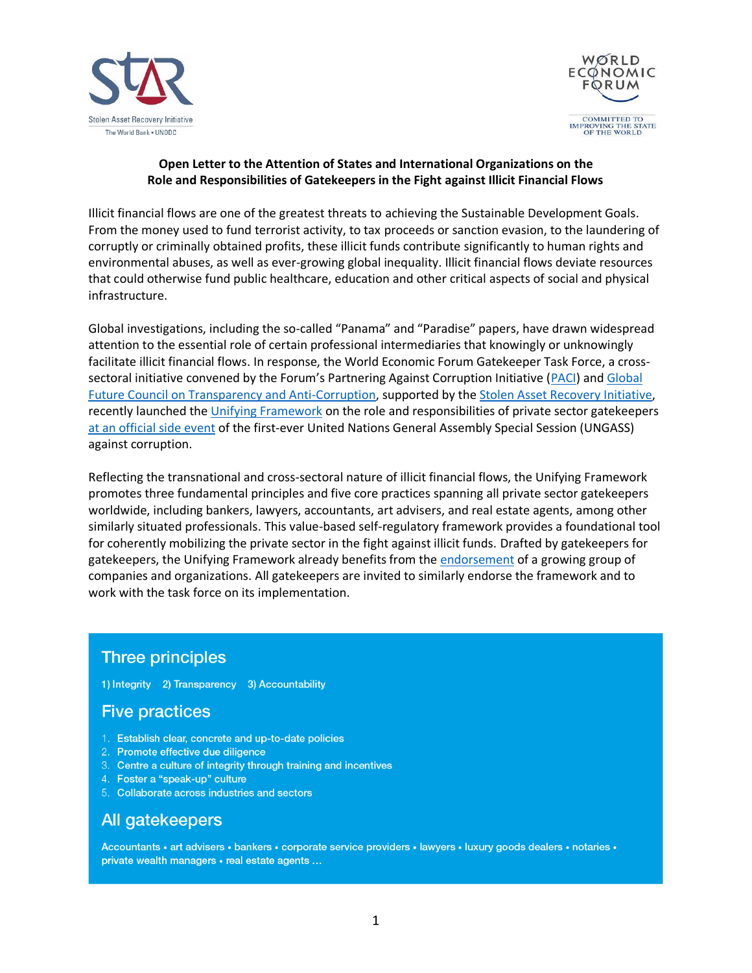



## **Open Letter to the Attention of States and International Organizations on the Role and Responsibilities of Gatekeepers in the Fight against Illicit Financial Flows**

Illicit financial flows are one of the greatest threats to achieving the Sustainable Development Goals. From the money used to fund terrorist activity, to tax proceeds or sanction evasion, to the laundering of corruptly or criminally obtained profits, these illicit funds contribute significantly to human rights and environmental abuses, as well as ever-growing global inequality. Illicit financial flows deviate resources that could otherwise fund public healthcare, education and other critical aspects of social and physical infrastructure.

Global investigations, including the so-called "Panama" and "Paradise" papers, have drawn widespread attention to the essential role of certain professional intermediaries that knowingly or unknowingly facilitate illicit financial flows. In response, the World Economic Forum Gatekeeper Task Force, a crosssectoral initiative convened by the Forum's Partnering Against Corruption Initiative ([PACI\)](https://www.weforum.org/communities/partnering-against-corruption-initiative) and [Global](https://cn.weforum.org/communities/gfc-on-transparency-and-anti-corruption)  [Future Council on Transparency and Anti-Corruption,](https://cn.weforum.org/communities/gfc-on-transparency-and-anti-corruption) supported by th[e Stolen Asset Recovery Initiative,](https://star.worldbank.org/) recently launched the [Unifying Framework](http://www3.weforum.org/docs/WEF_Gatekeepers_A_Unifying_Framework_2021.pdf) on the role and responsibilities of private sector gatekeepers at an [official side event](https://ungass2021.unodc.org/ungass2021/side-events_2-june.html) of the first-ever United Nations General Assembly Special Session (UNGASS) against corruption.

Reflecting the transnational and cross-sectoral nature of illicit financial flows, the Unifying Framework promotes three fundamental principles and five core practices spanning all private sector gatekeepers worldwide, including bankers, lawyers, accountants, art advisers, and real estate agents, among other similarly situated professionals. This value-based self-regulatory framework provides a foundational tool for coherently mobilizing the private sector in the fight against illicit funds. Drafted by gatekeepers for gatekeepers, the Unifying Framework already benefits from the [endorsement](http://www3.weforum.org/docs/WEF_Gatekeepers_endorsement_list_2021.pdf) of a growing group of companies and organizations. All gatekeepers are invited to similarly endorse the framework and to work with the task force on its implementation.

## **Three principles**

1) Integrity 2) Transparency 3) Accountability

## **Five practices**

- 1. Establish clear, concrete and up-to-date policies
- 2. Promote effective due diligence
- 3. Centre a culture of integrity through training and incentives
- 4. Foster a "speak-up" culture
- 5. Collaborate across industries and sectors

## All gatekeepers

Accountants · art advisers · bankers · corporate service providers · lawyers · luxury goods dealers · notaries · private wealth managers • real estate agents ...